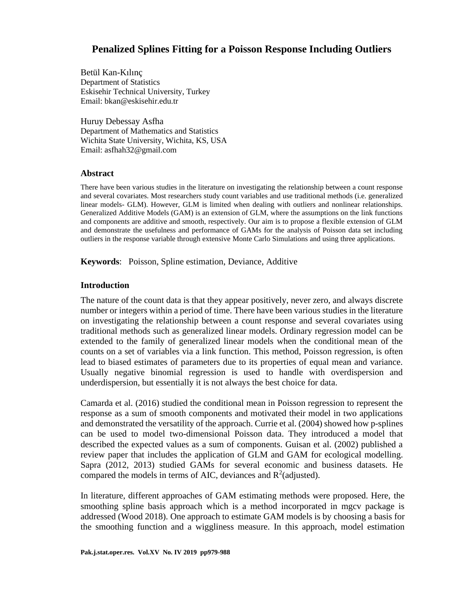# **Penalized Splines Fitting for a Poisson Response Including Outliers**

Betül Kan-Kılınç Department of Statistics Eskisehir Technical University, Turkey Email: bkan@eskisehir.edu.tr

Huruy Debessay Asfha Department of Mathematics and Statistics Wichita State University, Wichita, KS, USA Email: asfhah32@gmail.com

### **Abstract**

There have been various studies in the literature on investigating the relationship between a count response and several covariates. Most researchers study count variables and use traditional methods (i.e. generalized linear models- GLM). However, GLM is limited when dealing with outliers and nonlinear relationships. Generalized Additive Models (GAM) is an extension of GLM, where the assumptions on the link functions and components are additive and smooth, respectively. Our aim is to propose a flexible extension of GLM and demonstrate the usefulness and performance of GAMs for the analysis of Poisson data set including outliers in the response variable through extensive Monte Carlo Simulations and using three applications.

**Keywords**: Poisson, Spline estimation, Deviance, Additive

### **Introduction**

The nature of the count data is that they appear positively, never zero, and always discrete number or integers within a period of time. There have been various studies in the literature on investigating the relationship between a count response and several covariates using traditional methods such as generalized linear models. Ordinary regression model can be extended to the family of generalized linear models when the conditional mean of the counts on a set of variables via a link function. This method, Poisson regression, is often lead to biased estimates of parameters due to its properties of equal mean and variance. Usually negative binomial regression is used to handle with overdispersion and underdispersion, but essentially it is not always the best choice for data.

Camarda et al. (2016) studied the conditional mean in Poisson regression to represent the response as a sum of smooth components and motivated their model in two applications and demonstrated the versatility of the approach. Currie et al. (2004) showed how p-splines can be used to model two-dimensional Poisson data. They introduced a model that described the expected values as a sum of components. Guisan et al. (2002) published a review paper that includes the application of GLM and GAM for ecological modelling. Sapra (2012, 2013) studied GAMs for several economic and business datasets. He compared the models in terms of AIC, deviances and  $R^2$  (adjusted).

In literature, different approaches of GAM estimating methods were proposed. Here, the smoothing spline basis approach which is a method incorporated in mgcv package is addressed (Wood 2018). One approach to estimate GAM models is by choosing a basis for the smoothing function and a wiggliness measure. In this approach, model estimation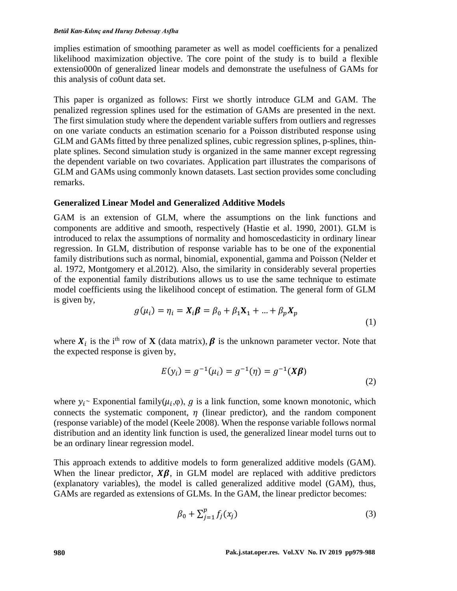#### *Betül Kan-Kılınç and Huruy Debessay Asfha*

implies estimation of smoothing parameter as well as model coefficients for a penalized likelihood maximization objective. The core point of the study is to build a flexible extensio000n of generalized linear models and demonstrate the usefulness of GAMs for this analysis of co0unt data set.

This paper is organized as follows: First we shortly introduce GLM and GAM. The penalized regression splines used for the estimation of GAMs are presented in the next. The first simulation study where the dependent variable suffers from outliers and regresses on one variate conducts an estimation scenario for a Poisson distributed response using GLM and GAMs fitted by three penalized splines, cubic regression splines, p-splines, thinplate splines. Second simulation study is organized in the same manner except regressing the dependent variable on two covariates. Application part illustrates the comparisons of GLM and GAMs using commonly known datasets. Last section provides some concluding remarks.

# **Generalized Linear Model and Generalized Additive Models**

GAM is an extension of GLM, where the assumptions on the link functions and components are additive and smooth, respectively (Hastie et al. 1990, 2001). GLM is introduced to relax the assumptions of normality and homoscedasticity in ordinary linear regression. In GLM, distribution of response variable has to be one of the exponential family distributions such as normal, binomial, exponential, gamma and Poisson (Nelder et al. 1972, Montgomery et al.2012). Also, the similarity in considerably several properties of the exponential family distributions allows us to use the same technique to estimate model coefficients using the likelihood concept of estimation. The general form of GLM is given by,

$$
g(\mu_i) = \eta_i = X_i \beta = \beta_0 + \beta_1 X_1 + ... + \beta_p X_p
$$
\n(1)

where  $X_i$  is the i<sup>th</sup> row of **X** (data matrix),  $\beta$  is the unknown parameter vector. Note that the expected response is given by,

$$
E(y_i) = g^{-1}(\mu_i) = g^{-1}(\eta) = g^{-1}(X\beta)
$$
\n(2)

where  $y_i$ ∼ Exponential family( $\mu_i$ , $\varphi$ ), g is a link function, some known monotonic, which connects the systematic component,  $\eta$  (linear predictor), and the random component (response variable) of the model (Keele 2008). When the response variable follows normal distribution and an identity link function is used, the generalized linear model turns out to be an ordinary linear regression model.

This approach extends to additive models to form generalized additive models (GAM). When the linear predictor,  $X\beta$ , in GLM model are replaced with additive predictors (explanatory variables), the model is called generalized additive model (GAM), thus, GAMs are regarded as extensions of GLMs. In the GAM, the linear predictor becomes:

$$
\beta_0 + \sum_{j=1}^p f_j(x_j) \tag{3}
$$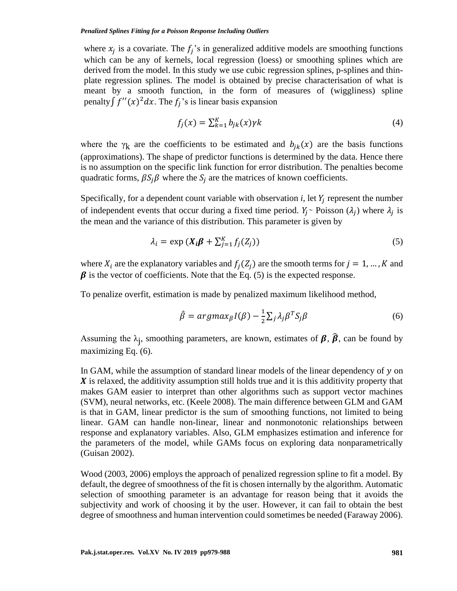where  $x_j$  is a covariate. The  $f_j$ 's in generalized additive models are smoothing functions which can be any of kernels, local regression (loess) or smoothing splines which are derived from the model. In this study we use cubic regression splines, p-splines and thinplate regression splines. The model is obtained by precise characterisation of what is meant by a smooth function, in the form of measures of (wiggliness) spline penalty  $\int f''(x)^2 dx$ . The  $f_j$ 's is linear basis expansion

$$
f_j(x) = \sum_{k=1}^{K} b_{jk}(x) \gamma k \tag{4}
$$

where the  $\gamma_k$  are the coefficients to be estimated and  $b_{ik}(x)$  are the basis functions (approximations). The shape of predictor functions is determined by the data. Hence there is no assumption on the specific link function for error distribution. The penalties become quadratic forms,  $\beta S_j \beta$  where the  $S_j$  are the matrices of known coefficients.

Specifically, for a dependent count variable with observation  $i$ , let  $Y_j$  represent the number of independent events that occur during a fixed time period.  $Y_j$ ~ Poisson ( $\lambda_j$ ) where  $\lambda_j$  is the mean and the variance of this distribution. This parameter is given by

$$
\lambda_i = \exp\left(X_i \boldsymbol{\beta} + \sum_{j=1}^K f_j(Z_j)\right) \tag{5}
$$

where  $X_i$  are the explanatory variables and  $f_i(Z_i)$  are the smooth terms for  $j = 1, ..., K$  and  $\beta$  is the vector of coefficients. Note that the Eq. (5) is the expected response.

To penalize overfit, estimation is made by penalized maximum likelihood method,

$$
\hat{\beta} = argmax_{\beta} I(\beta) - \frac{1}{2} \sum_{j} \lambda_{j} \beta^{T} S_{j} \beta
$$
\n(6)

Assuming the  $\lambda_j$ , smoothing parameters, are known, estimates of  $\beta$ ,  $\widehat{\beta}$ , can be found by maximizing Eq. (6).

In GAM, while the assumption of standard linear models of the linear dependency of  $y$  on  $\boldsymbol{X}$  is relaxed, the additivity assumption still holds true and it is this additivity property that makes GAM easier to interpret than other algorithms such as support vector machines (SVM), neural networks, etc. (Keele 2008). The main difference between GLM and GAM is that in GAM, linear predictor is the sum of smoothing functions, not limited to being linear. GAM can handle non-linear, linear and nonmonotonic relationships between response and explanatory variables. Also, GLM emphasizes estimation and inference for the parameters of the model, while GAMs focus on exploring data nonparametrically (Guisan 2002).

Wood (2003, 2006) employs the approach of penalized regression spline to fit a model. By default, the degree of smoothness of the fit is chosen internally by the algorithm. Automatic selection of smoothing parameter is an advantage for reason being that it avoids the subjectivity and work of choosing it by the user. However, it can fail to obtain the best degree of smoothness and human intervention could sometimes be needed (Faraway 2006).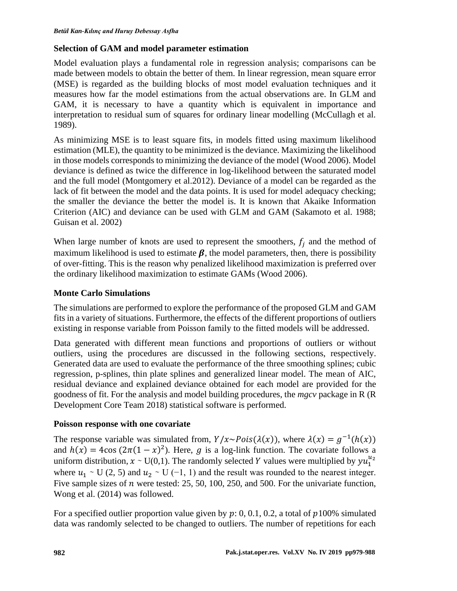# **Selection of GAM and model parameter estimation**

Model evaluation plays a fundamental role in regression analysis; comparisons can be made between models to obtain the better of them. In linear regression, mean square error (MSE) is regarded as the building blocks of most model evaluation techniques and it measures how far the model estimations from the actual observations are. In GLM and GAM, it is necessary to have a quantity which is equivalent in importance and interpretation to residual sum of squares for ordinary linear modelling (McCullagh et al. 1989).

As minimizing MSE is to least square fits, in models fitted using maximum likelihood estimation (MLE), the quantity to be minimized is the deviance. Maximizing the likelihood in those models corresponds to minimizing the deviance of the model (Wood 2006). Model deviance is defined as twice the difference in log-likelihood between the saturated model and the full model (Montgomery et al.2012). Deviance of a model can be regarded as the lack of fit between the model and the data points. It is used for model adequacy checking; the smaller the deviance the better the model is. It is known that Akaike Information Criterion (AIC) and deviance can be used with GLM and GAM (Sakamoto et al. 1988; Guisan et al. 2002)

When large number of knots are used to represent the smoothers,  $f_i$  and the method of maximum likelihood is used to estimate  $\beta$ , the model parameters, then, there is possibility of over-fitting. This is the reason why penalized likelihood maximization is preferred over the ordinary likelihood maximization to estimate GAMs (Wood 2006).

# **Monte Carlo Simulations**

The simulations are performed to explore the performance of the proposed GLM and GAM fits in a variety of situations. Furthermore, the effects of the different proportions of outliers existing in response variable from Poisson family to the fitted models will be addressed.

Data generated with different mean functions and proportions of outliers or without outliers, using the procedures are discussed in the following sections, respectively. Generated data are used to evaluate the performance of the three smoothing splines; cubic regression, p-splines, thin plate splines and generalized linear model. The mean of AIC, residual deviance and explained deviance obtained for each model are provided for the goodness of fit. For the analysis and model building procedures, the *mgcv* package in R (R Development Core Team 2018) statistical software is performed.

# **Poisson response with one covariate**

The response variable was simulated from,  $Y/x \sim Pois(\lambda(x))$ , where  $\lambda(x) = g^{-1}(h(x))$ and  $h(x) = 4\cos((2\pi((1 - x))^2))$ . Here, g is a log-link function. The covariate follows a uniform distribution,  $x \sim U(0,1)$ . The randomly selected Y values were multiplied by  $yu_1^{u_2}$ where  $u_1$  ∼ U (2, 5) and  $u_2$  ∼ U (−1, 1) and the result was rounded to the nearest integer. Five sample sizes of  $n$  were tested: 25, 50, 100, 250, and 500. For the univariate function, Wong et al. (2014) was followed.

For a specified outlier proportion value given by  $p: 0, 0.1, 0.2$ , a total of  $p100\%$  simulated data was randomly selected to be changed to outliers. The number of repetitions for each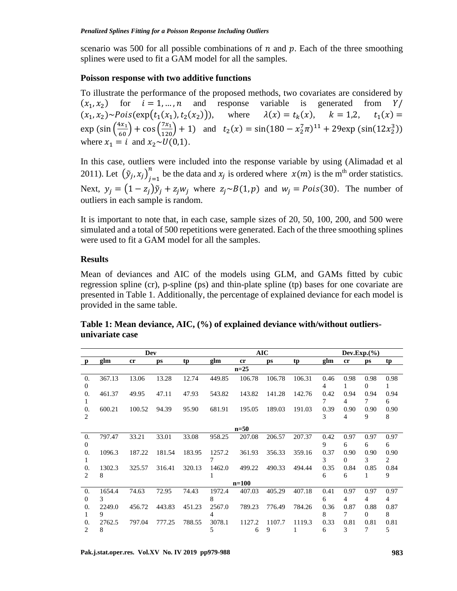scenario was 500 for all possible combinations of  $n$  and  $p$ . Each of the three smoothing splines were used to fit a GAM model for all the samples.

#### **Poisson response with two additive functions**

To illustrate the performance of the proposed methods, two covariates are considered by  $(x_1, x_2)$  for  $i = 1, ..., n$  and response variable is generated from Y/  $(x_1, x_2)$ ~Pois(exp(t<sub>1</sub>(x<sub>1</sub>), t<sub>2</sub>(x<sub>2</sub>) ()), where  $\lambda(x) = t_k(x)$ ,  $k = 1,2$ ,  $t_1(x) =$  $\exp \left(\sin \left(\frac{4x_1}{60}\right) + \cos \left(\frac{7x_1}{120}\right) + 1\right)$  and  $t_2(x) = \sin(180 - x_2^7 \pi)^{11} + 29 \exp \left(\sin(12x_2^3)\right)$ where  $x_1 = i$  and  $x_2 \sim U(0,1)$ .

In this case, outliers were included into the response variable by using (Alimadad et al 2011). Let  $(\tilde{y}_j, x_j)_{j=1}^n$  $\sum_{i=1}^{n}$  be the data and  $x_j$  is ordered where  $x(m)$  is the m<sup>th</sup> order statistics. Next,  $y_i = (1 - z_i)\tilde{y}_i + z_i w_i$  where  $z_i \sim B(1, p)$  and  $w_i = Pois(30)$ . The number of outliers in each sample is random.

It is important to note that, in each case, sample sizes of 20, 50, 100, 200, and 500 were simulated and a total of 500 repetitions were generated. Each of the three smoothing splines were used to fit a GAM model for all the samples.

### **Results**

Mean of deviances and AIC of the models using GLM, and GAMs fitted by cubic regression spline (cr), p-spline (ps) and thin-plate spline (tp) bases for one covariate are presented in Table 1. Additionally, the percentage of explained deviance for each model is provided in the same table.

|            |        | Dev            |        |        |        |               | <b>AIC</b> |        |      |               | $Dev. Exp. (\%)$ |      |
|------------|--------|----------------|--------|--------|--------|---------------|------------|--------|------|---------------|------------------|------|
| p          | glm    | <sub>c</sub> r | ps     | tp     | glm    | <sub>cr</sub> | <b>ps</b>  | tp     | glm  | <sub>cr</sub> | ps               | tp   |
|            |        |                |        |        |        | $n=25$        |            |        |      |               |                  |      |
| $\theta$ . | 367.13 | 13.06          | 13.28  | 12.74  | 449.85 | 106.78        | 106.78     | 106.31 | 0.46 | 0.98          | 0.98             | 0.98 |
| $\theta$   |        |                |        |        |        |               |            |        | 4    | 1             | 0                | 1.   |
| 0.         | 461.37 | 49.95          | 47.11  | 47.93  | 543.82 | 143.82        | 141.28     | 142.76 | 0.42 | 0.94          | 0.94             | 0.94 |
| 1          |        |                |        |        |        |               |            |        | 7    | 4             | 7                | 6    |
| 0.         | 600.21 | 100.52         | 94.39  | 95.90  | 681.91 | 195.05        | 189.03     | 191.03 | 0.39 | 0.90          | 0.90             | 0.90 |
| 2          |        |                |        |        |        |               |            |        | 3    | 4             | 9                | 8    |
|            |        |                |        |        |        | $n=50$        |            |        |      |               |                  |      |
|            |        |                |        |        |        |               |            |        |      |               |                  |      |
| 0.         | 797.47 | 33.21          | 33.01  | 33.08  | 958.25 | 207.08        | 206.57     | 207.37 | 0.42 | 0.97          | 0.97             | 0.97 |
| $\theta$   |        |                |        |        |        |               |            |        | 9    | 6             | 6                | 6    |
| 0.         | 1096.3 | 187.22         | 181.54 | 183.95 | 1257.2 | 361.93        | 356.33     | 359.16 | 0.37 | 0.90          | 0.90             | 0.90 |
| 1          |        |                |        |        |        |               |            |        | 3    | $\Omega$      | 3                | 2    |
| 0.         | 1302.3 | 325.57         | 316.41 | 320.13 | 1462.0 | 499.22        | 490.33     | 494.44 | 0.35 | 0.84          | 0.85             | 0.84 |
| 2          | 8      |                |        |        | 1      |               |            |        | 6    | 6             | 1                | 9    |
|            |        |                |        |        |        | $n=100$       |            |        |      |               |                  |      |
| 0.         | 1654.4 | 74.63          | 72.95  | 74.43  | 1972.4 | 407.03        | 405.29     | 407.18 | 0.41 | 0.97          | 0.97             | 0.97 |
| $\Omega$   | 3      |                |        |        | 8      |               |            |        | 6    | 4             | 4                | 4    |
| 0.         | 2249.0 | 456.72         | 443.83 | 451.23 | 2567.0 | 789.23        | 776.49     | 784.26 | 0.36 | 0.87          | 0.88             | 0.87 |
| 1          | 9      |                |        |        |        |               |            |        | 8    | 7             | $\Omega$         | 8    |
| 0.         | 2762.5 | 797.04         | 777.25 | 788.55 | 3078.1 | 1127.2        | 1107.7     | 1119.3 | 0.33 | 0.81          | 0.81             | 0.81 |
| 2          | 8      |                |        |        | 5      | 6             | 9          |        | 6    | 3             | 7                | 5    |

**Table 1: Mean deviance, AIC, (%) of explained deviance with/without outliersunivariate case**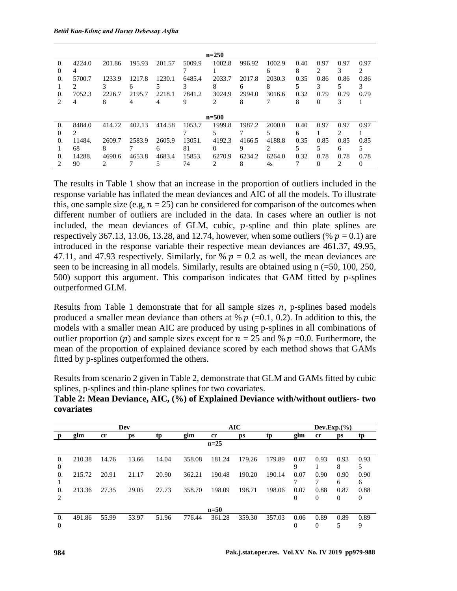|            |                               |        |        |        |        | $n=250$   |        |        |      |      |      |      |
|------------|-------------------------------|--------|--------|--------|--------|-----------|--------|--------|------|------|------|------|
| $\Omega$ . | 4224.0                        | 201.86 | 195.93 | 201.57 | 5009.9 | 1002.8    | 996.92 | 1002.9 | 0.40 | 0.97 | 0.97 | 0.97 |
| $\theta$   | 4                             |        |        |        |        |           |        | 6      | 8    | 2    | 3    | 2    |
| 0.         | 5700.7                        | 1233.9 | 1217.8 | 1230.1 | 6485.4 | 2033.7    | 2017.8 | 2030.3 | 0.35 | 0.86 | 0.86 | 0.86 |
|            | $\mathfrak{D}_{\mathfrak{p}}$ |        | 6      |        |        | 8         | 6      | 8      |      | 3    | 5    | 3    |
| 0.         | 7052.3                        | 2226.7 | 2195.7 | 2218.1 | 7841.2 | 3024.9    | 2994.0 | 3016.6 | 0.32 | 0.79 | 0.79 | 0.79 |
|            | 4                             | 8      | 4      | 4      | 9      | 2         | 8      |        | 8    | 0    | 3    |      |
|            |                               |        |        |        |        |           |        |        |      |      |      |      |
|            |                               |        |        |        |        | $n = 500$ |        |        |      |      |      |      |
| $\Omega$ . | 8484.0                        | 414.72 | 402.13 | 414.58 | 1053.7 | 1999.8    | 1987.2 | 2000.0 | 0.40 | 0.97 | 0.97 | 0.97 |
| 0          | $\mathcal{D}$                 |        |        |        |        | 5         |        | 5      | 6    |      | ↑    |      |
| $\Omega$ . | 11484.                        | 2609.7 | 2583.9 | 2605.9 | 13051. | 4192.3    | 4166.5 | 4188.8 | 0.35 | 0.85 | 0.85 | 0.85 |
|            | 68                            | 8      |        | 6      | 81     | 0         | 9      | 2      | 5    | 5    | 6    | 5    |
| $\Omega$   | 14288.                        | 4690.6 | 4653.8 | 4683.4 | 15853. | 6270.9    | 6234.2 | 6264.0 | 0.32 | 0.78 | 0.78 | 0.78 |
|            | 90                            | 2      |        |        | 74     | 2         | 8      | 4s     |      | 0    | 2    | 0    |

The results in Table 1 show that an increase in the proportion of outliers included in the response variable has inflated the mean deviances and AIC of all the models. To illustrate this, one sample size (e.g,  $n = 25$ ) can be considered for comparison of the outcomes when different number of outliers are included in the data. In cases where an outlier is not included, the mean deviances of GLM, cubic,  $p$ -spline and thin plate splines are respectively 367.13, 13.06, 13.28, and 12.74, however, when some outliers (%  $p = 0.1$ ) are introduced in the response variable their respective mean deviances are 461.37, 49.95, 47.11, and 47.93 respectively. Similarly, for %  $p = 0.2$  as well, the mean deviances are seen to be increasing in all models. Similarly, results are obtained using n (=50, 100, 250, 500) support this argument. This comparison indicates that GAM fitted by p-splines outperformed GLM.

Results from Table 1 demonstrate that for all sample sizes  $n$ , p-splines based models produced a smaller mean deviance than others at %  $p$  (=0.1, 0.2). In addition to this, the models with a smaller mean AIC are produced by using p-splines in all combinations of outlier proportion (p) and sample sizes except for  $n = 25$  and %  $p = 0.0$ . Furthermore, the mean of the proportion of explained deviance scored by each method shows that GAMs fitted by p-splines outperformed the others.

Results from scenario 2 given in Table 2, demonstrate that GLM and GAMs fitted by cubic splines, p-splines and thin-plane splines for two covariates.

|            | Table 2: Mean Deviance, AIC, (%) of Explained Deviance with/without outliers- two |  |
|------------|-----------------------------------------------------------------------------------|--|
| covariates |                                                                                   |  |

|                             |        |                | Dev   |       |        |        | <b>AIC</b> |        |           |      | Dev.Exp.(%) |           |
|-----------------------------|--------|----------------|-------|-------|--------|--------|------------|--------|-----------|------|-------------|-----------|
|                             | glm    | <sub>c</sub> r | ps    | tp    | glm    | cr     | ps         | tp     | glm       | cr   | ps          | tp        |
|                             |        |                |       |       |        | $n=25$ |            |        |           |      |             |           |
| 0.                          | 210.38 | 14.76          | 13.66 | 14.04 | 358.08 | 181.24 | 179.26     | 179.89 | 0.07      | 0.93 | 0.93        | 0.93      |
| $\theta$<br>0.              | 215.72 | 20.91          | 21.17 | 20.90 | 362.21 | 190.48 | 190.20     | 190.14 | 9<br>0.07 | 0.90 | 8<br>0.90   | 0.90      |
| $\Omega$                    | 213.36 | 27.35          | 29.05 | 27.73 | 358.70 | 198.09 | 198.71     | 198.06 | 0.07      | 0.88 | 6<br>0.87   | 6<br>0.88 |
| $\mathcal{D}_{\mathcal{L}}$ |        |                |       |       |        |        |            |        | 0         | 0    | 0           | 0         |
|                             |        |                |       |       |        | $n=50$ |            |        |           |      |             |           |
| 0.                          | 491.86 | 55.99          | 53.97 | 51.96 | 776.44 | 361.28 | 359.30     | 357.03 | 0.06      | 0.89 | 0.89        | 0.89      |
| $\Omega$                    |        |                |       |       |        |        |            |        | 0         | 0    | 5           | 9         |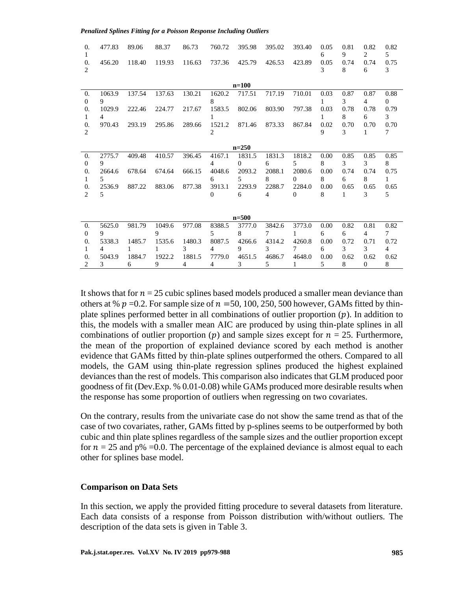*Penalized Splines Fitting for a Poisson Response Including Outliers*

| 0.             | 477.83         | 89.06  | 88.37  | 86.73          | 760.72         | 395.98    | 395.02 | 393.40   | 0.05 | 0.81 | 0.82     | 0.82           |
|----------------|----------------|--------|--------|----------------|----------------|-----------|--------|----------|------|------|----------|----------------|
| 1              |                |        |        |                |                |           |        |          | 6    | 9    | 2        | 5 <sup>5</sup> |
| $\theta$ .     | 456.20         | 118.40 | 119.93 | 116.63         | 737.36         | 425.79    | 426.53 | 423.89   | 0.05 | 0.74 | 0.74     | 0.75           |
| $\overline{c}$ |                |        |        |                |                |           |        |          | 3    | 8    | 6        | 3              |
|                |                |        |        |                |                | $n=100$   |        |          |      |      |          |                |
| 0.             | 1063.9         | 137.54 | 137.63 | 130.21         | 1620.2         | 717.51    | 717.19 | 710.01   | 0.03 | 0.87 | 0.87     | 0.88           |
| $\Omega$       | 9              |        |        |                | 8              |           |        |          | 1    | 3    | 4        | $\Omega$       |
| 0.             | 1029.9         | 222.46 | 224.77 | 217.67         | 1583.5         | 802.06    | 803.90 | 797.38   | 0.03 | 0.78 | 0.78     | 0.79           |
| 1              | $\overline{4}$ |        |        |                |                |           |        |          |      | 8    | 6        | 3              |
| $\theta$ .     | 970.43         | 293.19 | 295.86 | 289.66         | 1521.2         | 871.46    | 873.33 | 867.84   | 0.02 | 0.70 | 0.70     | 0.70           |
| 2              |                |        |        |                | 2              |           |        |          | 9    | 3    | 1        | 7              |
|                |                |        |        |                |                |           |        |          |      |      |          |                |
|                |                |        |        |                |                | $n=250$   |        |          |      |      |          |                |
| $\theta$ .     | 2775.7         | 409.48 | 410.57 | 396.45         | 4167.1         | 1831.5    | 1831.3 | 1818.2   | 0.00 | 0.85 | 0.85     | 0.85           |
| $\Omega$       | 9              |        |        |                | 4              | $\Omega$  | 6      | 5        | 8    | 3    | 3        | 8              |
| 0.             | 2664.6         | 678.64 | 674.64 | 666.15         | 4048.6         | 2093.2    | 2088.1 | 2080.6   | 0.00 | 0.74 | 0.74     | 0.75           |
| 1              | 5              |        |        |                | 6              | 5.        | 8      | $\Omega$ | 8    | 6    | 8        | 1              |
| 0.             | 2536.9         | 887.22 | 883.06 | 877.38         | 3913.1         | 2293.9    | 2288.7 | 2284.0   | 0.00 | 0.65 | 0.65     | 0.65           |
| 2              | 5              |        |        |                | $\Omega$       | 6         | 4      | $\Omega$ | 8    | 1    | 3        | 5              |
|                |                |        |        |                |                |           |        |          |      |      |          |                |
|                |                |        |        |                |                |           |        |          |      |      |          |                |
|                |                |        |        |                |                | $n = 500$ |        |          |      |      |          |                |
| 0.             | 5625.0         | 981.79 | 1049.6 | 977.08         | 8388.5         | 3777.0    | 3842.6 | 3773.0   | 0.00 | 0.82 | 0.81     | 0.82           |
| $\Omega$       | 9              |        | 9      |                | 5              | 8         | 7      | 1        | 6    | 6    | 4        | 7              |
| $\theta$ .     | 5338.3         | 1485.7 | 1535.6 | 1480.3         | 8087.5         | 4266.6    | 4314.2 | 4260.8   | 0.00 | 0.72 | 0.71     | 0.72           |
| 1              | 4              | 1      |        | 3              | 4              | 9         | 3      | 7        | 6    | 3    | 3        | $\overline{4}$ |
| $\theta$ .     | 5043.9         | 1884.7 | 1922.2 | 1881.5         | 7779.0         | 4651.5    | 4686.7 | 4648.0   | 0.00 | 0.62 | 0.62     | 0.62           |
| 2              | 3              | 6      | 9      | $\overline{4}$ | $\overline{4}$ | 3         | 5      | 1        | 5    | 8    | $\Omega$ | 8              |

It shows that for  $n = 25$  cubic splines based models produced a smaller mean deviance than others at %  $p = 0.2$ . For sample size of  $n = 50, 100, 250, 500$  however, GAMs fitted by thinplate splines performed better in all combinations of outlier proportion  $(p)$ . In addition to this, the models with a smaller mean AIC are produced by using thin-plate splines in all combinations of outlier proportion (p) and sample sizes except for  $n = 25$ . Furthermore, the mean of the proportion of explained deviance scored by each method is another evidence that GAMs fitted by thin-plate splines outperformed the others. Compared to all models, the GAM using thin-plate regression splines produced the highest explained deviances than the rest of models. This comparison also indicates that GLM produced poor goodness of fit (Dev.Exp. % 0.01-0.08) while GAMs produced more desirable results when the response has some proportion of outliers when regressing on two covariates.

On the contrary, results from the univariate case do not show the same trend as that of the case of two covariates, rather, GAMs fitted by p-splines seems to be outperformed by both cubic and thin plate splines regardless of the sample sizes and the outlier proportion except for  $n = 25$  and p% =0.0. The percentage of the explained deviance is almost equal to each other for splines base model.

#### **Comparison on Data Sets**

In this section, we apply the provided fitting procedure to several datasets from literature. Each data consists of a response from Poisson distribution with/without outliers. The description of the data sets is given in Table 3.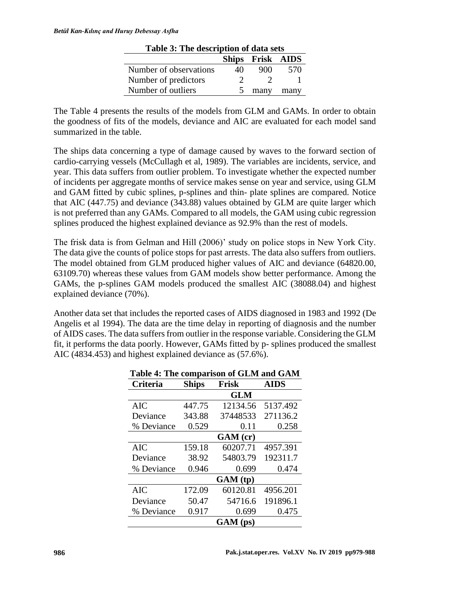| Lable 5. The description of data sets |    |                  |      |  |  |  |  |  |  |
|---------------------------------------|----|------------------|------|--|--|--|--|--|--|
|                                       |    | Ships Frisk AIDS |      |  |  |  |  |  |  |
| Number of observations                | 40 | 900              | 570  |  |  |  |  |  |  |
| Number of predictors                  |    |                  |      |  |  |  |  |  |  |
| Number of outliers                    |    | many             | many |  |  |  |  |  |  |
|                                       |    |                  |      |  |  |  |  |  |  |

**Table 3: The description of data sets**

The Table 4 presents the results of the models from GLM and GAMs. In order to obtain the goodness of fits of the models, deviance and AIC are evaluated for each model sand summarized in the table.

The ships data concerning a type of damage caused by waves to the forward section of cardio-carrying vessels (McCullagh et al, 1989). The variables are incidents, service, and year. This data suffers from outlier problem. To investigate whether the expected number of incidents per aggregate months of service makes sense on year and service, using GLM and GAM fitted by cubic splines, p-splines and thin- plate splines are compared. Notice that AIC (447.75) and deviance (343.88) values obtained by GLM are quite larger which is not preferred than any GAMs. Compared to all models, the GAM using cubic regression splines produced the highest explained deviance as 92.9% than the rest of models.

The frisk data is from Gelman and Hill (2006)' study on police stops in New York City. The data give the counts of police stops for past arrests. The data also suffers from outliers. The model obtained from GLM produced higher values of AIC and deviance (64820.00, 63109.70) whereas these values from GAM models show better performance. Among the GAMs, the p-splines GAM models produced the smallest AIC (38088.04) and highest explained deviance (70%).

Another data set that includes the reported cases of AIDS diagnosed in 1983 and 1992 (De Angelis et al 1994). The data are the time delay in reporting of diagnosis and the number of AIDS cases. The data suffers from outlier in the response variable. Considering the GLM fit, it performs the data poorly. However, GAMs fitted by p- splines produced the smallest AIC (4834.453) and highest explained deviance as (57.6%).

|            | Table 4: The comparison of GLM and GAM |            |          |  |  |  |  |  |  |
|------------|----------------------------------------|------------|----------|--|--|--|--|--|--|
| Criteria   | <b>Ships</b>                           | Frisk      |          |  |  |  |  |  |  |
|            |                                        | <b>GLM</b> |          |  |  |  |  |  |  |
| <b>AIC</b> | 447.75                                 | 12134.56   | 5137.492 |  |  |  |  |  |  |
| Deviance   | 343.88                                 | 37448533   | 271136.2 |  |  |  |  |  |  |
| % Deviance | 0.529                                  | 0.11       | 0.258    |  |  |  |  |  |  |
|            |                                        | GAM (cr)   |          |  |  |  |  |  |  |
| <b>AIC</b> | 159.18                                 | 60207.71   | 4957.391 |  |  |  |  |  |  |
| Deviance   | 38.92                                  | 54803.79   | 192311.7 |  |  |  |  |  |  |
| % Deviance | 0.946                                  | 0.699      | 0.474    |  |  |  |  |  |  |
|            |                                        | GAM(tp)    |          |  |  |  |  |  |  |
| <b>AIC</b> | 172.09                                 | 60120.81   | 4956.201 |  |  |  |  |  |  |
| Deviance   | 50.47                                  | 54716.6    | 191896.1 |  |  |  |  |  |  |
| % Deviance | 0.917                                  | 0.699      | 0.475    |  |  |  |  |  |  |
|            |                                        | $GAM$ (ps) |          |  |  |  |  |  |  |

|  |  | Table 4: The comparison of GLM and GAM |  |  |  |
|--|--|----------------------------------------|--|--|--|
|--|--|----------------------------------------|--|--|--|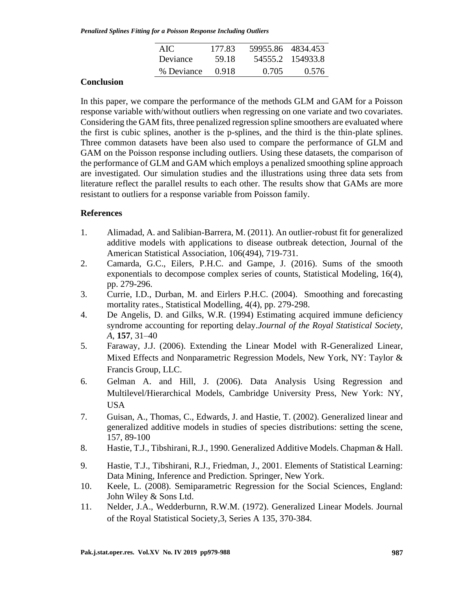*Penalized Splines Fitting for a Poisson Response Including Outliers*

| AIC.       | 177.83 |       | 59955.86 4834.453 |
|------------|--------|-------|-------------------|
| Deviance   | 59.18  |       | 54555.2 154933.8  |
| % Deviance | 0.918  | 0.705 | 0.576             |

# **Conclusion**

In this paper, we compare the performance of the methods GLM and GAM for a Poisson response variable with/without outliers when regressing on one variate and two covariates. Considering the GAM fits, three penalized regression spline smoothers are evaluated where the first is cubic splines, another is the p-splines, and the third is the thin-plate splines. Three common datasets have been also used to compare the performance of GLM and GAM on the Poisson response including outliers. Using these datasets, the comparison of the performance of GLM and GAM which employs a penalized smoothing spline approach are investigated. Our simulation studies and the illustrations using three data sets from literature reflect the parallel results to each other. The results show that GAMs are more resistant to outliers for a response variable from Poisson family.

### **References**

- 1. Alimadad, A. and Salibian-Barrera, M. (2011). An outlier-robust fit for generalized additive models with applications to disease outbreak detection, Journal of the American Statistical Association, 106(494), 719-731.
- 2. Camarda, G.C., Eilers, P.H.C. and Gampe, J. (2016). Sums of the smooth exponentials to decompose complex series of counts, Statistical Modeling, 16(4), pp. 279-296.
- 3. Currie, I.D., Durban, M. and Eirlers P.H.C. (2004). Smoothing and forecasting mortality rates., Statistical Modelling, 4(4), pp. 279-298.
- 4. De Angelis, D. and Gilks, W.R. (1994) Estimating acquired immune deficiency syndrome accounting for reporting delay.*Journal of the Royal Statistical Society, A*, **157**, 31–40
- 5. Faraway, J.J. (2006). Extending the Linear Model with R-Generalized Linear, Mixed Effects and Nonparametric Regression Models, New York, NY: Taylor & Francis Group, LLC.
- 6. Gelman A. and Hill, J. (2006). Data Analysis Using Regression and Multilevel/Hierarchical Models, Cambridge University Press, New York: NY, USA
- 7. Guisan, A., Thomas, C., Edwards, J. and Hastie, T. (2002). Generalized linear and generalized additive models in studies of species distributions: setting the scene, 157, 89-100
- 8. Hastie, T.J., Tibshirani, R.J., 1990. Generalized Additive Models. Chapman & Hall.
- 9. Hastie, T.J., Tibshirani, R.J., Friedman, J., 2001. Elements of Statistical Learning: Data Mining, Inference and Prediction. Springer, New York.
- 10. Keele, L. (2008). Semiparametric Regression for the Social Sciences, England: John Wiley & Sons Ltd.
- 11. Nelder, J.A., Wedderburnn, R.W.M. (1972). Generalized Linear Models. Journal of the Royal Statistical Society,3, Series A 135, 370-384.